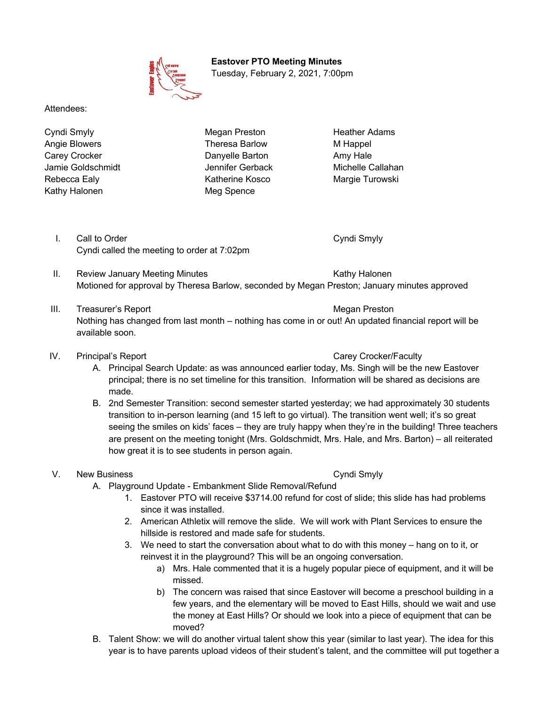

 **Eastover PTO Meeting Minutes** Tuesday, February 2, 2021, 7:00pm

Attendees:

Cyndi Smyly Megan Preston Heather Adams Angie Blowers **Theresa Barlow** M Happel Carey Crocker Danyelle Barton Amy Hale Jamie Goldschmidt Jennifer Gerback Michelle Callahan Rebecca Ealy **Katherine Kosco** Margie Turowski Kathy Halonen Meg Spence

I. Call to Order Cyndi Smyly Cyndi called the meeting to order at 7:02pm

- II. Review January Meeting Minutes **Kathy Halonen** Kathy Halonen Motioned for approval by Theresa Barlow, seconded by Megan Preston; January minutes approved
- III. Treasurer's Report **Megan Preston** Megan Preston Nothing has changed from last month – nothing has come in or out! An updated financial report will be available soon.

## IV. Principal's Report Carey Crocker/Faculty

- A. Principal Search Update: as was announced earlier today, Ms. Singh will be the new Eastover principal; there is no set timeline for this transition. Information will be shared as decisions are made.
- B. 2nd Semester Transition: second semester started yesterday; we had approximately 30 students transition to in-person learning (and 15 left to go virtual). The transition went well; it's so great seeing the smiles on kids' faces – they are truly happy when they're in the building! Three teachers are present on the meeting tonight (Mrs. Goldschmidt, Mrs. Hale, and Mrs. Barton) – all reiterated how great it is to see students in person again.

## V. New Business **Cyndi Smyly**

- A. Playground Update Embankment Slide Removal/Refund
	- 1. Eastover PTO will receive \$3714.00 refund for cost of slide; this slide has had problems since it was installed.
	- 2. American Athletix will remove the slide. We will work with Plant Services to ensure the hillside is restored and made safe for students.
	- 3. We need to start the conversation about what to do with this money hang on to it, or reinvest it in the playground? This will be an ongoing conversation.
		- a) Mrs. Hale commented that it is a hugely popular piece of equipment, and it will be missed.
		- b) The concern was raised that since Eastover will become a preschool building in a few years, and the elementary will be moved to East Hills, should we wait and use the money at East Hills? Or should we look into a piece of equipment that can be moved?
- B. Talent Show: we will do another virtual talent show this year (similar to last year). The idea for this year is to have parents upload videos of their student's talent, and the committee will put together a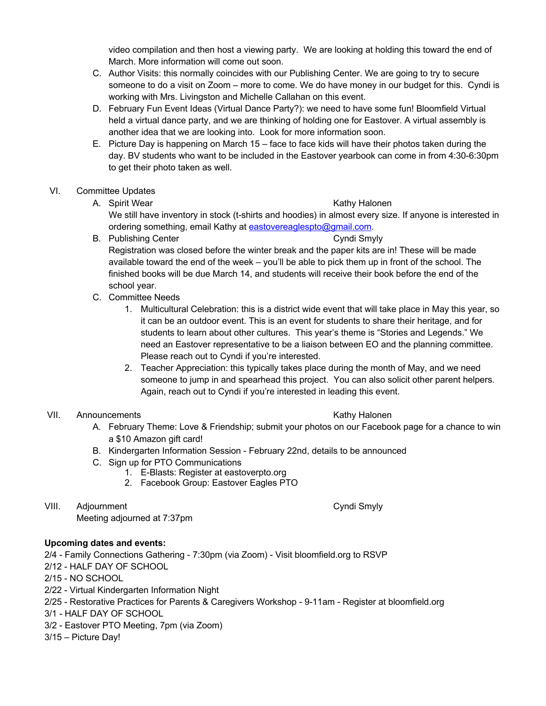video compilation and then host a viewing party. We are looking at holding this toward the end of March. More information will come out soon.

- C. Author Visits: this normally coincides with our Publishing Center. We are going to try to secure someone to do a visit on Zoom – more to come. We do have money in our budget for this. Cyndi is working with Mrs. Livingston and Michelle Callahan on this event.
- D. February Fun Event Ideas (Virtual Dance Party?): we need to have some fun! Bloomfield Virtual held a virtual dance party, and we are thinking of holding one for Eastover. A virtual assembly is another idea that we are looking into. Look for more information soon.
- E. Picture Day is happening on March 15 face to face kids will have their photos taken during the day. BV students who want to be included in the Eastover yearbook can come in from 4:30-6:30pm to get their photo taken as well.

## VI. Committee Updates

- A. Spirit Wear **Kathy Halonen** Kathy Halonen We still have inventory in stock (t-shirts and hoodies) in almost every size. If anyone is interested in ordering something, email Kathy at eastovereaglespto@gmail.com.
- B. Publishing Center Cyndi Smyly Cyndi Smyly Registration was closed before the winter break and the paper kits are in! These will be made available toward the end of the week – you'll be able to pick them up in front of the school. The finished books will be due March 14, and students will receive their book before the end of the school year.
- C. Committee Needs
	- 1. Multicultural Celebration: this is a district wide event that will take place in May this year, so it can be an outdoor event. This is an event for students to share their heritage, and for students to learn about other cultures. This year's theme is "Stories and Legends." We need an Eastover representative to be a liaison between EO and the planning committee. Please reach out to Cyndi if you're interested.
	- 2. Teacher Appreciation: this typically takes place during the month of May, and we need someone to jump in and spearhead this project. You can also solicit other parent helpers. Again, reach out to Cyndi if you're interested in leading this event.

### VII. Announcements **Kathy Halonen** Kathy Halonen

- A. February Theme: Love & Friendship; submit your photos on our Facebook page for a chance to win a \$10 Amazon gift card!
- B. Kindergarten Information Session February 22nd, details to be announced
- C. Sign up for PTO Communications
	- 1. E-Blasts: Register at eastoverpto.org
	- 2. Facebook Group: Eastover Eagles PTO
- VIII. Adjournment **Cyndi Smyly**

Meeting adjourned at 7:37pm

## **Upcoming dates and events:**

2/4 - Family Connections Gathering - 7:30pm (via Zoom) - Visit bloomfield.org to RSVP

- 2/12 HALF DAY OF SCHOOL
- 2/15 NO SCHOOL
- 2/22 Virtual Kindergarten Information Night
- 2/25 Restorative Practices for Parents & Caregivers Workshop 9-11am Register at bloomfield.org
- 3/1 HALF DAY OF SCHOOL
- 3/2 Eastover PTO Meeting, 7pm (via Zoom)
- 3/15 Picture Day!